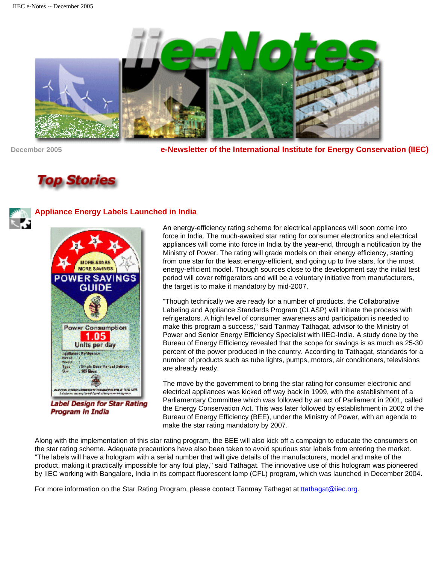

**December 2005 e-Newsletter of the International Institute for Energy Conservation (IIEC)**

# **Top Stories**



## **Appliance Energy Labels Launched in India**



Label Design for Star Rating Program in India

An energy-efficiency rating scheme for electrical appliances will soon come into force in India. The much-awaited star rating for consumer electronics and electrical appliances will come into force in India by the year-end, through a notification by the Ministry of Power. The rating will grade models on their energy efficiency, starting from one star for the least energy-efficient, and going up to five stars, for the most energy-efficient model. Though sources close to the development say the initial test period will cover refrigerators and will be a voluntary initiative from manufacturers, the target is to make it mandatory by mid-2007.

"Though technically we are ready for a number of products, the Collaborative Labeling and Appliance Standards Program (CLASP) will initiate the process with refrigerators. A high level of consumer awareness and participation is needed to make this program a success," said Tanmay Tathagat, advisor to the Ministry of Power and Senior Energy Efficiency Specialist with IIEC-India. A study done by the Bureau of Energy Efficiency revealed that the scope for savings is as much as 25-30 percent of the power produced in the country. According to Tathagat, standards for a number of products such as tube lights, pumps, motors, air conditioners, televisions are already ready.

The move by the government to bring the star rating for consumer electronic and electrical appliances was kicked off way back in 1999, with the establishment of a Parliamentary Committee which was followed by an act of Parliament in 2001, called the Energy Conservation Act. This was later followed by establishment in 2002 of the Bureau of Energy Efficiency (BEE), under the Ministry of Power, with an agenda to make the star rating mandatory by 2007.

Along with the implementation of this star rating program, the BEE will also kick off a campaign to educate the consumers on the star rating scheme. Adequate precautions have also been taken to avoid spurious star labels from entering the market. "The labels will have a hologram with a serial number that will give details of the manufacturers, model and make of the product, making it practically impossible for any foul play," said Tathagat. The innovative use of this hologram was pioneered by IIEC working with Bangalore, India in its compact fluorescent lamp (CFL) program, which was launched in December 2004.

For more information on the Star Rating Program, please contact Tanmay Tathagat at [ttathagat@iiec.org](mailto:ttathagat@iiec.org).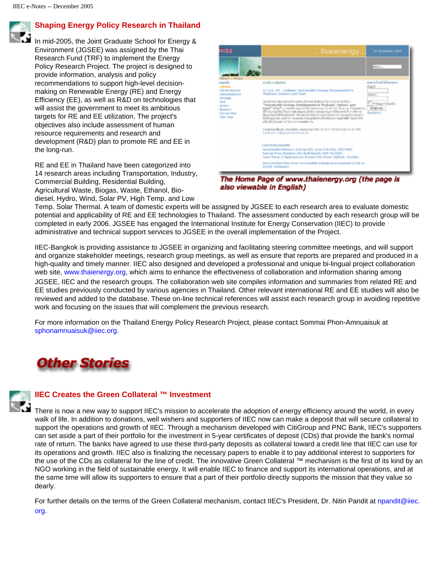

#### **Shaping Energy Policy Research in Thailand**

In mid-2005, the Joint Graduate School for Energy & Environment (JGSEE) was assigned by the Thai Research Fund (TRF) to implement the Energy Policy Research Project. The project is designed to provide information, analysis and policy recommendations to support high-level decisionmaking on Renewable Energy (RE) and Energy Efficiency (EE), as well as R&D on technologies that will assist the government to meet its ambitious targets for RE and EE utilization. The project's objectives also include assessment of human resource requirements and research and development (R&D) plan to promote RE and EE in the long-run.

RE and EE in Thailand have been categorized into 14 research areas including Transportation, Industry, Commercial Building, Residential Building, Agricultural Waste, Biogas, Waste, Ethanol, Biodiesel, Hydro, Wind, Solar PV, High Temp. and Low



The Home Page of www.thaienergy.org (the page is also viewable in English)

Temp. Solar Thermal. A team of domestic experts will be assigned by JGSEE to each research area to evaluate domestic potential and applicability of RE and EE technologies to Thailand. The assessment conducted by each research group will be completed in early 2006. JGSEE has engaged the International Institute for Energy Conservation (IIEC) to provide administrative and technical support services to JGSEE in the overall implementation of the Project.

IIEC-Bangkok is providing assistance to JGSEE in organizing and facilitating steering committee meetings, and will support and organize stakeholder meetings, research group meetings, as well as ensure that reports are prepared and produced in a high-quality and timely manner. IIEC also designed and developed a professional and unique bi-lingual project collaboration web site, [www.thaienergy.org,](http://www.thaienergy.org/) which aims to enhance the effectiveness of collaboration and information sharing among JGSEE, IIEC and the research groups. The collaboration web site compiles information and summaries from related RE and EE studies previously conducted by various agencies in Thailand. Other relevant international RE and EE studies will also be reviewed and added to the database. These on-line technical references will assist each research group in avoiding repetitive work and focusing on the issues that will complement the previous research.

For more information on the Thailand Energy Policy Research Project, please contact Sommai Phon-Amnuaisuk at [sphonamnuaisuk@iiec.org](mailto:sphonamnuaisuk@iiec.org).





### **IIEC Creates the Green Collateral ™ Investment**

There is now a new way to support IIEC's mission to accelerate the adoption of energy efficiency around the world, in every walk of life. In addition to donations, well wishers and supporters of IIEC now can make a deposit that will secure collateral to support the operations and growth of IIEC. Through a mechanism developed with CitiGroup and PNC Bank, IIEC's supporters can set aside a part of their portfolio for the investment in 5-year certificates of deposit (CDs) that provide the bank's normal rate of return. The banks have agreed to use these third-party deposits as collateral toward a credit line that IIEC can use for its operations and growth. IIEC also is finalizing the necessary papers to enable it to pay additional interest to supporters for the use of the CDs as collateral for the line of credit. The innovative Green Collateral ™ mechanism is the first of its kind by an NGO working in the field of sustainable energy. It will enable IIEC to finance and support its international operations, and at the same time will allow its supporters to ensure that a part of their portfolio directly supports the mission that they value so dearly.

For further details on the terms of the Green Collateral mechanism, contact IIEC's President, Dr. Nitin Pandit at [npandit@iiec.](mailto:npandit@iiec.org) [org](mailto:npandit@iiec.org).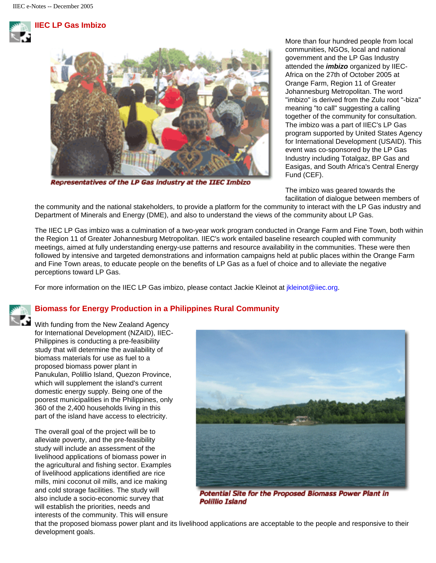



Representatives of the LP Gas industry at the IIEC Imbizo

More than four hundred people from local communities, NGOs, local and national government and the LP Gas Industry attended the *imbizo* organized by IIEC-Africa on the 27th of October 2005 at Orange Farm, Region 11 of Greater Johannesburg Metropolitan. The word "imbizo" is derived from the Zulu root "-biza" meaning "to call" suggesting a calling together of the community for consultation. The imbizo was a part of IIEC's LP Gas program supported by United States Agency for International Development (USAID). This event was co-sponsored by the LP Gas Industry including Totalgaz, BP Gas and Easigas, and South Africa's Central Energy Fund (CEF).

The imbizo was geared towards the facilitation of dialogue between members of

the community and the national stakeholders, to provide a platform for the community to interact with the LP Gas industry and Department of Minerals and Energy (DME), and also to understand the views of the community about LP Gas.

The IIEC LP Gas imbizo was a culmination of a two-year work program conducted in Orange Farm and Fine Town, both within the Region 11 of Greater Johannesburg Metropolitan. IIEC's work entailed baseline research coupled with community meetings, aimed at fully understanding energy-use patterns and resource availability in the communities. These were then followed by intensive and targeted demonstrations and information campaigns held at public places within the Orange Farm and Fine Town areas, to educate people on the benefits of LP Gas as a fuel of choice and to alleviate the negative perceptions toward LP Gas.

For more information on the IIEC LP Gas imbizo, please contact Jackie Kleinot at *ikleinot@iiec.org*.

## **Biomass for Energy Production in a Philippines Rural Community**

With funding from the New Zealand Agency for International Development (NZAID), IIEC-Philippines is conducting a pre-feasibility study that will determine the availability of biomass materials for use as fuel to a proposed biomass power plant in Panukulan, Polillio Island, Quezon Province, which will supplement the island's current domestic energy supply. Being one of the poorest municipalities in the Philippines, only 360 of the 2,400 households living in this part of the island have access to electricity.

The overall goal of the project will be to alleviate poverty, and the pre-feasibility study will include an assessment of the livelihood applications of biomass power in the agricultural and fishing sector. Examples of livelihood applications identified are rice mills, mini coconut oil mills, and ice making and cold storage facilities. The study will also include a socio-economic survey that will establish the priorities, needs and interests of the community. This will ensure



**Potential Site for the Proposed Biomass Power Plant in** Polillio Island

that the proposed biomass power plant and its livelihood applications are acceptable to the people and responsive to their development goals.